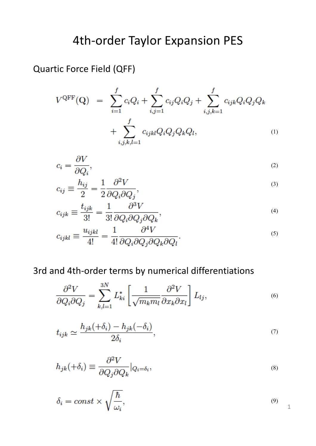# 4th-order Taylor Expansion PES

Quartic Force Field (QFF)

$$
V^{\text{QFF}}(\mathbf{Q}) = \sum_{i=1}^{f} c_i Q_i + \sum_{i,j=1}^{f} c_{ij} Q_i Q_j + \sum_{i,j,k=1}^{f} c_{ijk} Q_i Q_j Q_k + \sum_{i,j,k,l=1}^{f} c_{ijkl} Q_i Q_j Q_k Q_l, \qquad (1)
$$

$$
c_i = \frac{\partial V}{\partial Q_i},\tag{2}
$$

$$
c_{ij} \equiv \frac{h_{ij}}{2} = \frac{1}{2} \frac{\partial^2 V}{\partial Q_i \partial Q_j},\tag{3}
$$

$$
c_{ijk} \equiv \frac{t_{ijk}}{3!} = \frac{1}{3!} \frac{\partial^3 V}{\partial Q_i \partial Q_j \partial Q_k},\tag{4}
$$

$$
c_{ijkl} \equiv \frac{u_{ijkl}}{4!} = \frac{1}{4!} \frac{\partial^4 V}{\partial Q_i \partial Q_j \partial Q_k \partial Q_l}.
$$
\n<sup>(5)</sup>

### 3rd and 4th-order terms by numerical differentiations

$$
\frac{\partial^2 V}{\partial Q_i \partial Q_j} = \sum_{k,l=1}^{3N} L_{ki}^* \left[ \frac{1}{\sqrt{m_k m_l}} \frac{\partial^2 V}{\partial x_k \partial x_l} \right] L_{lj},\tag{6}
$$

$$
t_{ijk} \simeq \frac{h_{jk}(+\delta_i) - h_{jk}(-\delta_i)}{2\delta_i},\tag{7}
$$

$$
h_{jk}(+\delta_i) \equiv \frac{\partial^2 V}{\partial Q_j \partial Q_k} |_{Q_i = \delta_i},\tag{8}
$$

$$
\delta_i = const \times \sqrt{\frac{\hbar}{\omega_i}},\tag{9}
$$

1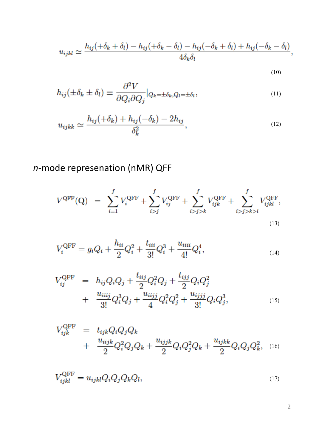$$
u_{ijkl} \simeq \frac{h_{ij}(+\delta_k+\delta_l)-h_{ij}(+\delta_k-\delta_l)-h_{ij}(-\delta_k+\delta_l)+h_{ij}(-\delta_k-\delta_l)}{4\delta_k\delta_l},
$$

(10)

$$
h_{ij}(\pm \delta_k \pm \delta_l) \equiv \frac{\partial^2 V}{\partial Q_i \partial Q_j} |_{Q_k = \pm \delta_k, Q_l = \pm \delta_l},\tag{11}
$$

$$
u_{ijkk} \simeq \frac{h_{ij}(+\delta_k) + h_{ij}(-\delta_k) - 2h_{ij}}{\delta_k^2},\tag{12}
$$

# *n*-mode represenation (nMR) QFF

$$
V^{\text{QFF}}(\mathbf{Q}) = \sum_{i=1}^{f} V_i^{\text{QFF}} + \sum_{i>j}^{f} V_{ij}^{\text{QFF}} + \sum_{i>j>k}^{f} V_{ijk}^{\text{QFF}} + \sum_{i>j>k}^{f} V_{ijkl}^{\text{QFF}},
$$
\n(13)

$$
V_i^{\text{QFF}} = g_i Q_i + \frac{h_{ii}}{2} Q_i^2 + \frac{t_{iii}}{3!} Q_i^3 + \frac{u_{iiii}}{4!} Q_i^4,
$$
\n(14)

$$
V_{ij}^{\text{QFF}} = h_{ij}Q_iQ_j + \frac{t_{ijj}}{2}Q_i^2Q_j + \frac{t_{ijj}}{2}Q_iQ_j^2 + \frac{u_{ijj}}{2}Q_iQ_j^2 + \frac{u_{ijjj}}{3!}Q_i^3Q_j + \frac{u_{ijjj}}{4}Q_i^2Q_j^2 + \frac{u_{ijjj}}{3!}Q_iQ_j^3,
$$
\n(15)

$$
V_{ijk}^{\text{QFF}} = t_{ijk} Q_i Q_j Q_k + \frac{u_{ijjk}}{2} Q_i Q_j Q_k + \frac{u_{ijjk}}{2} Q_i Q_j^2 Q_k + \frac{u_{ijkk}}{2} Q_i Q_j Q_k^2, \quad (16)
$$

$$
V_{ijkl}^{\text{QFF}} = u_{ijkl} Q_i Q_j Q_k Q_l, \qquad (17)
$$

2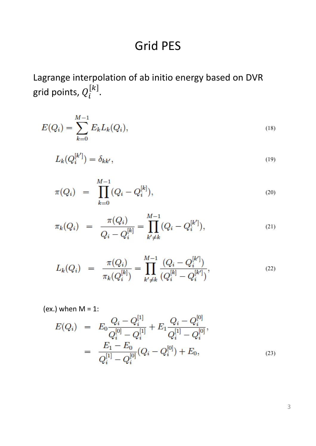# **Grid PES**

Lagrange interpolation of ab initio energy based on DVR grid points,  $Q_{\widetilde t}^{[k]}.$ 

$$
E(Q_i) = \sum_{k=0}^{M-1} E_k L_k(Q_i), \qquad (18)
$$

$$
L_k(Q_i^{[k']}) = \delta_{kk'},\tag{19}
$$

$$
\pi(Q_i) = \prod_{k=0}^{M-1} (Q_i - Q_i^{[k]}), \tag{20}
$$

$$
\pi_k(Q_i) = \frac{\pi(Q_i)}{Q_i - Q_i^{[k]}} = \prod_{k' \neq k}^{M-1} (Q_i - Q_i^{[k']}), \tag{21}
$$

$$
L_k(Q_i) = \frac{\pi(Q_i)}{\pi_k(Q_i^{[k]})} = \prod_{k' \neq k}^{M-1} \frac{(Q_i - Q_i^{[k']})}{(Q_i^{[k]} - Q_i^{[k']})},
$$
\n(22)

(ex.) when  $M = 1$ :

$$
E(Q_i) = E_0 \frac{Q_i - Q_i^{[1]}}{Q_i^{[0]} - Q_i^{[1]}} + E_1 \frac{Q_i - Q_i^{[0]}}{Q_i^{[1]} - Q_i^{[0]}},
$$
  

$$
= \frac{E_1 - E_0}{Q_i^{[1]} - Q_i^{[0]}} (Q_i - Q_i^{[0]}) + E_0,
$$
 (23)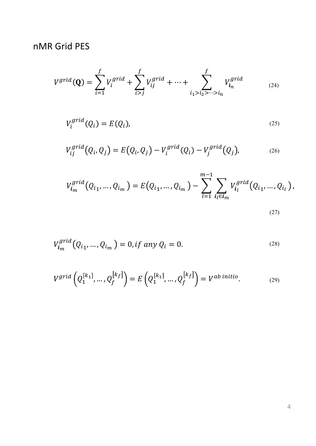## nMR Grid PES

$$
V^{grid}(\mathbf{Q}) = \sum_{i=1}^{f} V_i^{grid} + \sum_{i>j}^{f} V_{ij}^{grid} + \dots + \sum_{i_1 > i_2 > \dots > i_n}^{f} V_{i_n}^{grid}
$$
 (24)

$$
V_i^{grid}(Q_i) = E(Q_i), \tag{25}
$$

$$
V_{ij}^{grid}(Q_i, Q_j) = E(Q_i, Q_j) - V_i^{grid}(Q_i) - V_j^{grid}(Q_j),
$$
\n(26)

$$
V_{i_m}^{grid}(Q_{i_1},...,Q_{i_m}) = E(Q_{i_1},...,Q_{i_m}) - \sum_{l=1}^{m-1} \sum_{i_l \in i_m} V_{i_l}^{grid}(Q_{i_1},...,Q_{i_l}),
$$
\n(27)

$$
V_{i_m}^{grid}(Q_{i_1},...,Q_{i_m}) = 0, if any Q_i = 0.
$$
\n(28)

$$
V^{grid}\left(Q_1^{[k_1]},...,Q_f^{[k_f]}\right) = E\left(Q_1^{[k_1]},...,Q_f^{[k_f]}\right) = V^{ab\ initio}.
$$
\n(29)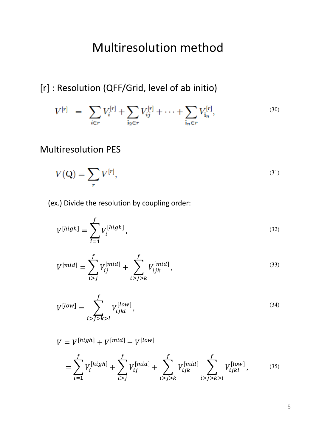# Multiresolution method

## [r] : Resolution (QFF/Grid, level of ab initio)

$$
V^{[r]} = \sum_{i \in r} V_i^{[r]} + \sum_{i_2 \in r} V_{ij}^{[r]} + \dots + \sum_{i_n \in r} V_{i_n}^{[r]},
$$
\n(30)

### Multiresolution PES

$$
V(\mathbf{Q}) = \sum_{r} V^{[r]},\tag{31}
$$

(ex.) Divide the resolution by coupling order:

$$
V^{[high]} = \sum_{i=1}^{f} V_i^{[high]},
$$
\n(32)

$$
V^{[mid]} = \sum_{i>j}^{f} V_{ij}^{[mid]} + \sum_{i>j>k}^{f} V_{ijk}^{[mid]}, \qquad (33)
$$

$$
V^{[low]} = \sum_{i>j>k>l}^{f} V_{ijkl}^{[low]},
$$
\n(34)

 $V = V^{[high]} + V^{[mid]} + V^{[low]}$ 

$$
= \sum_{i=1}^{f} V_i^{[high]} + \sum_{i>j}^{f} V_{ij}^{[mid]} + \sum_{i>j>k}^{f} V_{ijk}^{[mid]} \sum_{i>j>k}^{f} V_{ijkl}^{[low]},
$$
 (35)

5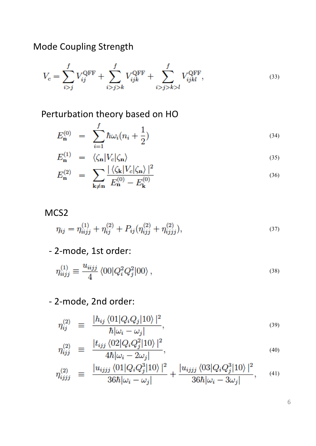Mode Coupling Strength

$$
V_c = \sum_{i>j}^{f} V_{ij}^{\text{QFF}} + \sum_{i>j>k}^{f} V_{ijk}^{\text{QFF}} + \sum_{i>j>k>l}^{f} V_{ijkl}^{\text{QFF}},
$$
\n(33)

Perturbation theory based on HO

$$
E_{\mathbf{n}}^{(0)} = \sum_{i=1}^{J} \hbar \omega_i (n_i + \frac{1}{2}) \tag{34}
$$

$$
E_{\mathbf{n}}^{(1)} = \langle \zeta_{\mathbf{n}} | V_c | \zeta_{\mathbf{n}} \rangle \tag{35}
$$

$$
E_{\mathbf{n}}^{(2)} = \sum_{\mathbf{k} \neq \mathbf{n}} \frac{|\langle \zeta_{\mathbf{k}} | V_c | \zeta_{\mathbf{n}} \rangle|^2}{E_{\mathbf{n}}^{(0)} - E_{\mathbf{k}}^{(0)}}
$$
(36)

#### MCS2

$$
\eta_{ij} = \eta_{iijj}^{(1)} + \eta_{ij}^{(2)} + P_{ij}(\eta_{ijj}^{(2)} + \eta_{ijjj}^{(2)}), \tag{37}
$$

- 2-mode, 1st order:

$$
\eta_{iijj}^{(1)} \equiv \frac{u_{iijj}}{4} \langle 00|Q_i^2 Q_j^2|00\rangle \,, \tag{38}
$$

- 2-mode, 2nd order:

$$
\eta_{ij}^{(2)} \equiv \frac{|h_{ij}\langle 01|Q_iQ_j|10\rangle|^2}{\hbar|\omega_i - \omega_j|},\tag{39}
$$

$$
\eta_{ijj}^{(2)} \equiv \frac{|t_{ijj} \langle 02|Q_i Q_j^2|10\rangle|^2}{4\hbar |\omega_i - 2\omega_j|}, \tag{40}
$$

$$
\eta_{ijjj}^{(2)} \equiv \frac{|u_{ijjj}\langle 01|Q_iQ_j^3|10\rangle|^2}{36\hbar|\omega_i - \omega_j|} + \frac{|u_{ijjj}\langle 03|Q_iQ_j^3|10\rangle|^2}{36\hbar|\omega_i - 3\omega_j|}, \quad (41)
$$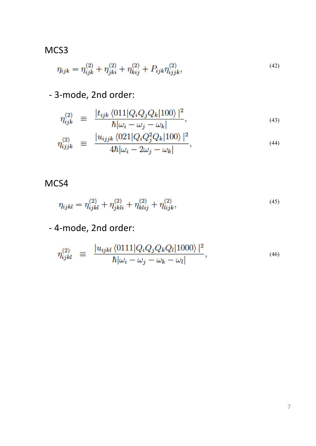### MCS3

$$
\eta_{ijk} = \eta_{ijk}^{(2)} + \eta_{jki}^{(2)} + \eta_{kij}^{(2)} + P_{ijk}\eta_{ijjk}^{(2)},
$$
\n(42)

## - 3-mode, 2nd order:

$$
\eta_{ijk}^{(2)} \equiv \frac{|t_{ijk} \langle 011|Q_i Q_j Q_k|100\rangle|^2}{\hbar |\omega_i - \omega_j - \omega_k|},\tag{43}
$$

$$
\eta_{ijjk}^{(2)} \equiv \frac{|u_{ijjk}\langle 021|Q_iQ_j^2Q_k|100\rangle|^2}{4\hbar|\omega_i - 2\omega_j - \omega_k|},\tag{44}
$$

### MCS4

$$
\eta_{ijkl} = \eta_{ijkl}^{(2)} + \eta_{jkli}^{(2)} + \eta_{klij}^{(2)} + \eta_{lijk}^{(2)},\tag{45}
$$

## - 4-mode, 2nd order:

$$
\eta_{ijkl}^{(2)} \equiv \frac{|u_{ijkl}\langle 0111|Q_iQ_jQ_kQ_l|1000\rangle|^2}{\hbar|\omega_i - \omega_j - \omega_k - \omega_l|},\tag{46}
$$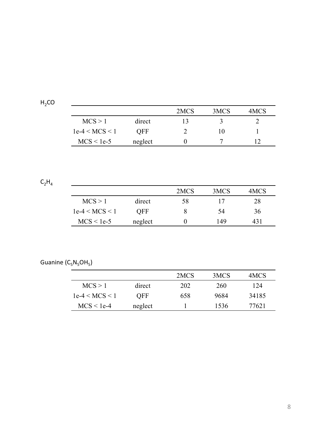| . .<br>г. | 0 |  |
|-----------|---|--|
|           |   |  |

|                  |         | 2MCS | 3MCS | 4MCS |
|------------------|---------|------|------|------|
| MCS > 1          | direct  | 13   |      |      |
| $1e-4 < MCS < 1$ | OFF     |      | l () |      |
| $MCS < 1e-5$     | neglect |      |      |      |

<u> 1980 - Johann Stein, marwolaethau (b. 1980)</u>

 $C_2H_4$ 

|                  |            | 2MCS | 3MCS | 4MCS |
|------------------|------------|------|------|------|
| MCS > 1          | direct     | 58   | 17   | 28   |
| $1e-4 < MCS < 1$ | <b>OFF</b> |      | 54   | 36   |
| $MCS < 1e-5$     | neglect    |      | 149  | 431  |

Guanine  $(C_5N_5OH_5)$ 

|                  |         | 2MCS | 3MCS | 4MCS  |
|------------------|---------|------|------|-------|
| MCS > 1          | direct  | 202  | 260  | 124   |
| $1e-4 < MCS < 1$ | OFF.    | 658  | 9684 | 34185 |
| $MCS < 1e-4$     | neglect |      | 1536 | 77621 |